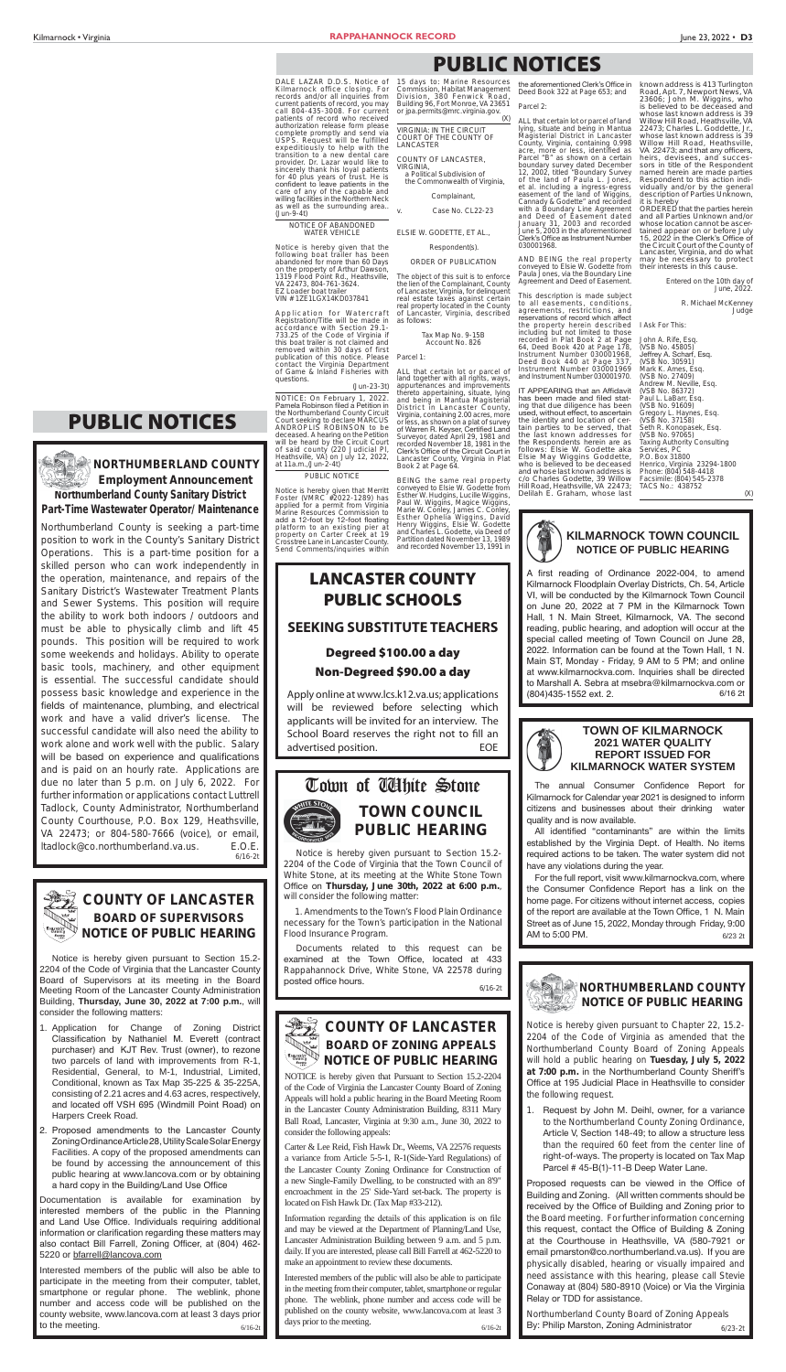## **LANCASTER COUNTY PUBLIC SCHOOLS SEEKING SUBSTITUTE TEACHERS**

### **Degreed \$100.00 a day Non-Degreed \$90.00 a day**

## **COUNTY OF LANCASTER BOARD OF ZONING APPEALS NOTICE OF PUBLIC HEARING**

Apply online at www.lcs.k12.va.us; applications will be reviewed before selecting which applicants will be invited for an interview. The School Board reserves the right not to fill an advertised position. EOE

NOTICE is hereby given that Pursuant to Section 15.2-2204 of the Code of Virginia the Lancaster County Board of Zoning Appeals will hold a public hearing in the Board Meeting Room in the Lancaster County Administration Building, 8311 Mary Ball Road, Lancaster, Virginia at 9:30 a.m., June 30, 2022 to consider the following appeals:

Information regarding the details of this application is on file and may be viewed at the Department of Planning/Land Use, Lancaster Administration Building between 9 a.m. and 5 p.m. daily. If you are interested, please call Bill Farrell at 462-5220 to make an appointment to review these documents.

Carter & Lee Reid, Fish Hawk Dr., Weems, VA 22576 requests a variance from Article 5-5-1, R-1(Side-Yard Regulations) of the Lancaster County Zoning Ordinance for Construction of a new Single-Family Dwelling, to be constructed with an 8'9" encroachment in the 25' Side-Yard set-back. The property is located on Fish Hawk Dr. (Tax Map #33-212).

- 1. Application for Change of Zoning District Classification by Nathaniel M. Everett (contract purchaser) and KJT Rev. Trust (owner), to rezone two parcels of land with improvements from R-1, Residential, General, to M-1, Industrial, Limited, Conditional, known as Tax Map 35-225 & 35-225A, consisting of 2.21 acres and 4.63 acres, respectively, and located off VSH 695 (Windmill Point Road) on Harpers Creek Road.
- 2. Proposed amendments to the Lancaster County Zoning Ordinance Article 28, Utility Scale Solar Energy Facilities. A copy of the proposed amendments can be found by accessing the announcement of this public hearing at www.lancova.com or by obtaining a hard copy in the Building/Land Use Office

6/16-2t Interested members of the public will also be able to participate in the meeting from their computer, tablet, smartphone or regular phone. The weblink, phone number and access code will be published on the county website, www.lancova.com at least 3 days prior to the meeting.

#### **COUNTY OF LANCASTER BOARD OF SUPERVISORS NOTICE OF PUBLIC HEARING**

Notice is hereby given pursuant to Section 15.2- 2204 of the Code of Virginia that the Lancaster County Board of Supervisors at its meeting in the Board Meeting Room of the Lancaster County Administration Building, **Thursday, June 30, 2022 at 7:00 p.m.**, will consider the following matters:

6/16-2t Interested members of the public will also be able to participate in the meeting from their computer, tablet, smartphone or regular phone. The weblink, phone number and access code will be published on the county website, www.lancova.com at least 3 days prior to the meeting.

Documentation is available for examination by interested members of the public in the Planning and Land Use Office. Individuals requiring additional information or clarification regarding these matters may also contact Bill Farrell, Zoning Officer, at (804) 462-5220 or bfarrell@lancova.com

Documents related to this request can be examined at the Town Office, located at 433 Rappahannock Drive, White Stone, VA 22578 during posted office hours.

**Northumberland County Sanitary District Part-Time Wastewater Operator/ Maintenance** Application for Watercraft Registration/Title will be made in accordance with Section 29.1- 733.25 of the Code of Virginia if this boat trailer is not claimed and removed within 30 days of first publication of this notice. Please contact the Virginia Department of Game & Inland Fisheries with questions.

6/16-2t Northumberland County is seeking a part-time position to work in the County's Sanitary District Operations. This is a part-time position for a skilled person who can work independently in the operation, maintenance, and repairs of the Sanitary District's Wastewater Treatment Plants and Sewer Systems. This position will require the ability to work both indoors / outdoors and must be able to physically climb and lift 45 pounds. This position will be required to work some weekends and holidays. Ability to operate basic tools, machinery, and other equipment is essential. The successful candidate should possess basic knowledge and experience in the fields of maintenance, plumbing, and electrical work and have a valid driver's license. The successful candidate will also need the ability to work alone and work well with the public. Salary will be based on experience and qualifications and is paid on an hourly rate. Applications are due no later than 5 p.m. on July 6, 2022. For further information or applications contact Luttrell Tadlock, County Administrator, Northumberland County Courthouse, P.O. Box 129, Heathsville, VA 22473; or 804-580-7666 (voice), or email, ltadlock@co.northumberland.va.us. E.O.E.



#### **Employment Announcement NORTHUMBERLAND COUNTY**

 a Political Subdivision of the Commonwealth of Virginia, Complainant, Case No. CL22-23

#### **KILMARNOCK TOWN COUNCIL NOTICE OF PUBLIC HEARING**

A first reading of Ordinance 2022-004, to amend Kilmarnock Floodplain Overlay Districts, Ch. 54, Article VI, will be conducted by the Kilmarnock Town Council on June 20, 2022 at 7 PM in the Kilmarnock Town Hall, 1 N. Main Street, Kilmarnock, VA. The second reading, public hearing, and adoption will occur at the special called meeting of Town Council on June 28, 2022. Information can be found at the Town Hall, 1 N. Main ST, Monday - Friday, 9 AM to 5 PM; and online at www.kilmarnockva.com. Inquiries shall be directed to Marshall A. Sebra at msebra@kilmarnockva.com or (804) 435-1552 ext. 2. 6/16 2t



#### **TOWN OF KILMARNOCK 2021 WATER QUALITY REPORT ISSUED FOR KILMARNOCK WATER SYSTEM**

The annual Consumer Confidence Report for Kilmarnock for Calendar year 2021 is designed to inform citizens and businesses about their drinking water

IT APPEARING that an Affidavit has been made and filed stat-<br>ing that due diligence has been used, without effect, to ascertain the identity and location of certain parties to be served, that the last known addresses for the Respondents herein are as follows: Elsie W. Godette aka Elsie May Wiggins Goddette, who is believed to be deceased and whose last known address is c/o Charles Godette, 39 Willow Hill Road, Heathsville, VA 22473; Delilah E. Graham, whose last



6/16-2t

Notice is hereby given pursuant to Section 15.2- 2204 of the Code of Virginia that the Town Council of White Stone, at its meeting at the White Stone Town Office on Thursday, June 30th, 2022 at 6:00 p.m., will consider the following matter:



 1. Amendments to the Town's Flood Plain Ordinance necessary for the Town's participation in the National Flood Insurance Program.

> 6/23-2t Northumberland County Board of Zoning Appeals By: Philip Marston, Zoning Administrator

quality and is now available.

All identified "contaminants" are within the limits established by the Virginia Dept. of Health. No items required actions to be taken. The water system did not have any violations during the year.

For the full report, visit www.kilmarnockva.com, where the Consumer Confidence Report has a link on the home page. For citizens without internet access, copies of the report are available at the Town Office, 1 N. Main Street as of June 15, 2022, Monday through Friday, 9:00 AM to 5:00 PM.  $6/23$  2t



NOTICE OF ABANDONED WATER VEHICLE

Notice is hereby given that the following boat trailer has been abandoned for more than 60 Days on the property of Arthur Dawson, 1319 Flood Point Rd., Heathsville, VA 22473, 804-761-3624. EZ Loader boat trailer VIN # 1ZE1LGX14KD037841

DALE LAZAR D.D.S. Notice of Kilmarnock office closing. For records and/or all inquiries from current patients of record, you may call 804-435-3008. For current patients of record who received authorization release form please complete promptly and send via USPS. Request will be fulfilled expeditiously to help with the transition to a new dental care provider. Dr. Lazar would like to sincerely thank his loyal patients for 40 plus years of trust. He is confident to leave patients in the<br>care of any of the capable and willing facilities in the Northern Neck as well as the surrounding area.. (Jun-9-4t) 15 days to: Marine Resources Building 96, Fort Monroe, VA 23651 or jpa.permits@mrc.virginia.gov. VIRGINIA: IN THE CIRCUIT COURT OF THE COUNTY OF LANCASTER COUNTY OF LANCASTER, VIRGINIA,

(Jun-23-3t)

NOTICE: On February 1, 2022. Pamela Robinson filed a Petition in the Northumberland County Circuit Court seeking to declare MARCUS ANDROPLIS ROBINSON to be deceased. A hearing on the Petition<br>will be heard by the Circuit Court will be heard by the Circuit Court of said county (220 Judicial Pl, Heathsville, VA) on July 12, 2022, at 11a.m.,(Jun-2-4t)

PUBLIC NOTICE

Notice is hereby given that Merritt Foster (VMRC #2022-1289) has applied for a permit from Virginia Marine Resources Commission to add a 12-foot by 12-foot floating platform to an existing pier at property on Carter Creek at 19 Crosstree Lane in Lancaster County. Send Comments/inquiries within

ELSIE W. GODETTE, ET AL., Respondent(s). ORDER OF PUBLICATION The object of this suit is to enforce the lien of the Complainant, County of Lancaster, Virginia, for delinquent real estate taxes against certain real property located in the County of Lancaster, Virginia, described

as follows:

Tax Map No. 9-15B Account No. 826

Parcel 1:

Commission, Habitat Management Division, 380 Fenwick Road, the aforementioned Clerk's Office in Deed Book 322 at Page 653; and

ALL that certain lot or parcel of land together with all rights, ways, appurtenances and improvements thereto appertaining, situate, lying and being in Mantua Magisterial District in Lancaster County, Virginia, containing 2.00 acres, more or less, as shown on a plat of survey of Warren R. Keyser, Certified Land Surveyor, dated April 29, 1981 and recorded November 18, 1981 in the Clerk's Office of the Circuit Court in Lancaster County, Virginia in Plat

Book 2 at Page 64.

BEING the same real property conveyed to Elsie W. Godette from Esther W. Hudgins, Lucille Wiggins, Paul W. Wiggins, Magice Wiggins, Marie W. Conley, James C. Conley, Esther Ophelia Wiggins, David Henry Wiggins, Elsie W. Godette and Charles L. Godette, via Deed of Partition dated November 13, 1989 and recorded November 13, 1991 in

#### Parcel 2:

 $(X)$ 

ALL that certain lot or parcel of land lying, situate and being in Mantua Magisterial District in Lancaster County, Virginia, containing 0.998 acre, more or less, identified as Parcel "B" as shown on a certain boundary survey dated December 12, 2002, titled "Boundary Survey of the land of Paula L. Jones, et al. including a ingress-egress easement of the land of Wiggins, Cannady & Godette" and recorded with a Boundary Line Agreement and Deed of Easement dated January 31, 2003 and recorded June 5, 2003 in the aforementioned Clerk's Office as Instrument Number 030001968.

AND BEING the real property conveyed to Elsie W. Godette from Paula Jones, via the Boundary Line Agreement and Deed of Easement.

This description is made subject to all easements, conditions, agreements, restrictions, and reservations of record which affect the property herein described including but not limited to those recorded in Plat Book 2 at Page 64, Deed Book 420 at Page 178, Instrument Number 030001968, Deed Book 440 at Page 337, Instrument Number 030001969 and Instrument Number 030001970.

known address is 413 Turlington Road, Apt. 7, Newport News, VA 23606; John M. Wiggins, who is believed to be deceased and whose last known address is 39 Willow Hill Road, Heathsville, VA 22473; Charles L. Goddette, Jr., whose last known address is 39 Willow Hill Road, Heathsville, VA 22473; and that any officers, heirs, devisees, and successors in title of the Respondent named herein are made parties Respondent to this action individually and/or by the general description of Parties Unknown,

it is hereby

ORDERED that the parties herein and all Parties Unknown and/or whose location cannot be ascertained appear on or before July tamed appear on or before saly the Circuit Court of the County of Lancaster, Virginia, and do what may be necessary to protect their interests in this cause.

Entered on the 10th day of

R. Michael McKenney

June, 2022.

**Judge** 

I Ask For This: John A. Rife, Esq. (VSB No. 45805) Jeffrey A. Scharf, Esq.<br>(VSB No. 30591) Mark K. Ames, Esq. (VSB No. 27409) Andrew M. Neville, Esq. (VSB No. 86372) Paul L. LaBarr, Esq. (VSB No. 91609) Gregory L. Haynes, Esq. (VSB No. 37158) Seth R. Konopasek, Esq. (VSB No. 97065)

Taxing Authority Consulting

Services, PC P.O. Box 31800

Henrico, Virginia 23294-1800 Phone: (804) 548-4418 Facsimile: (804) 545-2378 TACS No.: 438752

(X)

## **PUBLIC NOTICES**

Notice is hereby given pursuant to Chapter 22, 15.2- 2204 of the Code of Virginia as amended that the Northumberland County Board of Zoning Appeals will hold a public hearing on **Tuesday, July 5, 2022**  at 7:00 p.m. in the Northumberland County Sheriff's Office at 195 Judicial Place in Heathsville to consider the following request.

1. Request by John M. Deihl, owner, for a variance to the Northumberland County Zoning Ordinance, Article V, Section 148-49; to allow a structure less than the required 60 feet from the center line of right-of-ways. The property is located on Tax Map Parcel # 45-B(1)-11-B Deep Water Lane.

Proposed requests can be viewed in the Office of Building and Zoning. (All written comments should be received by the Office of Building and Zoning prior to the Board meeting. For further information concerning this request, contact the Office of Building & Zoning at the Courthouse in Heathsville, VA (580-7921 or email pmarston@co.northumberland.va.us). If you are physically disabled, hearing or visually impaired and need assistance with this hearing, please call Stevie Conaway at (804) 580-8910 (Voice) or Via the Virginia Relay or TDD for assistance.



## **PUBLIC NOTICES**